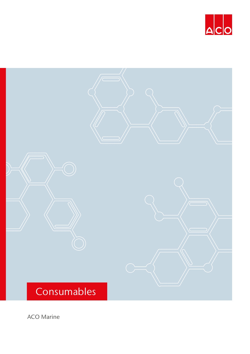



ACO Marine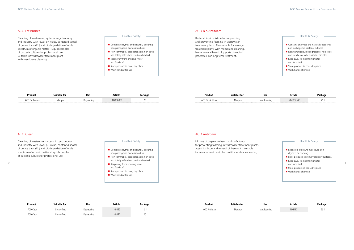Cleaning of wastewater, systems in gastronomy and industry with lower pH value, content disposal of grease traps (EL) and biodegradation of wide spectrum of organic matter - Liquid complex of bacteria cultures for professional use. Suitable for wastewater treatment plant with membrane cleaning.

Bacterial liquid mixture for suppressing and preventing foaming in wastewater treatment plants. Also suitable for sewage treatment plants with membrane cleaning. Non-chemical based. Supports biological processes. For long-term treatment.

Cleaning of wastewater systems in gastronomy and industry with lower pH value, content disposal of grease traps (EL) and biodegradation of wide spectrum of organic matter - Liquid complex of bacteria cultures for professional use.

Mixture of organic solvents and surfactants for preventing foaming in wastewater treatment plants. Agent is silicon and mineral oil free so it is suitable for sewage treatment plants with membrane cleaning.

# ACO Fat Burner ACO Bio Antifoam

| Product               | Suitable for | Use        | Article | Package | <b>Product</b> |                  | `uitable for<br><br><b>USC</b> | Article  | Package |
|-----------------------|--------------|------------|---------|---------|----------------|------------------|--------------------------------|----------|---------|
| <b>ACO Fat Burner</b> | Maripu       | )egreasing | COBG001 |         |                | ^^∩ Bio Antifoam | Antifoaming<br>Maripur         | MM002590 |         |



| <b>Product</b>        | <b>Suitable for</b> | Use       | Article | Package  | <b>Product</b> |         | Use       | <b>Article</b> | Parkan |
|-----------------------|---------------------|-----------|---------|----------|----------------|---------|-----------|----------------|--------|
| <b>ACO Clear</b>      | urease Trap         | Jegreasii | 49020   |          | .<br>-Antiloa. | Maripur | Antifoami | NM4931         | ا زے   |
| <sup>^</sup> CO Clear | Grease Trap         |           | 49022   | 20<br>ZU |                |         |           |                |        |





Health & Safety:

- $\blacksquare$  Contains enzymes and naturally occuring non-pathogenic bacterial cultures
- Non-flammable, biodegradable, non-toxic and totally safe when used as directed
- $\blacksquare$  Keep away from drinking water and foodstuff
- Store product in cool, dry place
- Wash hands after use

### ACO Clear ACO Antifoam ACO Antifoam ACO Antifoam ACO Antifoam ACO Antifoam ACO Antifoam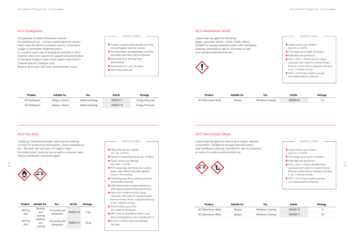Dry granular complex of bacterial cultures for professional use - contains hybrid bacterial cultures which have the ability to maintain activity of activated sludge in wastewater treatment plants. It is used for quick start of biological treatment in ACO Clarimar units or to support the growth and preservation of activated sludge in case of low organic load of ACO Clarimar and ACO Maripur units. Reduces BOD and COD levels and eliminates odors.

Liquid cleaning agent for descaling (pipes, porcelain, plastic, urinals, toilets, filters). Suitable for sewage treatment plants with membrane cleaning. Intended for sale to consumers as well as for professional/industrial use.



Oxidizing / bleaching powder: cleaning and washing on ships for professional dishwashers, waste maintenance etc. / Removes dirt and stains of organic origin. For professional / industrial use as well as consumer sales. Without perfumery and polish agent.





Liquid cleaning agent for removing of organic deposits and proteins. Suitable for sewage treatment plants with membrane cleaning. Intended for sale to consumers as well as for professional/industrial use.



## ACO Oxy Activ ACO Memcleaner Alkalic

| <b>Product</b>   | <b>Suitable for</b>        | <b>Use</b>                     | Article  | Package |
|------------------|----------------------------|--------------------------------|----------|---------|
| ACO Oxy<br>Activ | Washing<br>and<br>cleaning | For laundry and<br>dishwashers | MM002518 | 5 kg    |
| ACO Oxy<br>Activ | Washing<br>and<br>cleaning | For laundry and<br>dishwashers | MM002519 | 20 kg   |

- $\blacksquare$  HMay intensify fire; oxidiser (Ox. Sol. 2;H272)
- $\blacksquare$  Harmful if swallowed (Acute Tox. 4;H302)
- Causes serious eye damage (Eye Dam. 1;H318)
- P210 Keep away from heat, hot surfaces, sparks, open flames and other ignition sources. No smoking.
- **P220 Keep away from clothing and other** combustible materials.
- P280 Wear protective gloves/protective clothing/eye protection/face protection.
- P305+P351+P338 IF IN EYES: Rinse cautiously with water for several minutes. Remove contact lenses, if present and easy to do. Continue rinsing.
- $\blacksquare$  P370+P378 In case of fire: Use watter to extinguish.
- $\blacksquare$  P401 Store in accordance with in a dry place at temperatures not exceeding 40 °C.
- $\blacksquare$  EUH031 Contact with acids liberates toxic gas.

Product Suitable for Use Article Package ACO Hydropacks Maripur, Clarimar Additional Biology MM002517 10 bags 450 g each ACO Hydropacks Maripur, Clarimar Additional Biology MM002310 25 bags 450 g each

## ACO Hydropacks ACO Memcleaner Acidic



Health & Safety:

- $\blacksquare$  Contains enzymes and naturally occuring non-pathogenic bacterial cultures
- Non-flammable, biodegradable, non-toxic and totally safe when used as directed
- $\blacksquare$  Keep away from drinking water and foodstuff
- Store product in cool, dry place
- $\blacksquare$  Wash hands after use



Health & Safety:

|   | w<br>TO.<br>nіA  | в<br>ינ ש |              |  |
|---|------------------|-----------|--------------|--|
| . | ırıpur<br>$\sim$ | mmc       | $\mathbf{H}$ |  |

| Product                | Suitable for |                   | rticle  |  |
|------------------------|--------------|-------------------|---------|--|
| ACO Memcleaner Alkalic | Maripur      | Membrane Cleaning | MM0001  |  |
| ACO Memcleaner Alkalic | Maripur      | Membrane Cleaning | MM00047 |  |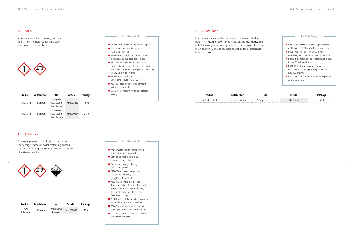

| <b>VVIII VIII VIII V</b> |  |
|--------------------------|--|
|                          |  |
|                          |  |
|                          |  |

Removal of residual chlorine, preservation of filtration membranes for long-term shutdown on cruise ships.



Emulsion to promote the formation of activated sludge flakes. It is used in dewatering units of surplus sludge. Suitable for sewage treatment plants with membrane cleaning. Intended for sale to consumers as well as for professional/ industrial use.

Chemical precipitation of phosphorus from the sewage water, disposal of floating fibrous sludge, improving the sedimentation properties of activated sludge.

### ACO P Reducer

| <b>Product</b> | Suitable for | Use        | Article  | Package |  |
|----------------|--------------|------------|----------|---------|--|
| ACO            | Maripur      | Phosphorus | MM001656 | 20 kg   |  |
| P Reducer      |              | Removal    |          |         |  |

- $\blacksquare$  Harmful if swallowed (Acute Tox. 4; H302)
- Causes serious eye damage (Eye Dam. 1;H318)
- $\blacksquare$  P280 Wear suitable protective gloves, clothing, and eye/face protection.
- P305+P351+P338 IF IN EYES: Rinse cautiously with water for several minutes. Remove contact lenses, if present and easy to do. Continue rinsing.
- P310 Immediately call a POISON CENTRE or a doctor.
- P501 Dispose of contents/container as hazardous waste.
- $\blacksquare$  EUH031 Contact with acids liberates toxic gas.

### ACO Stabil and a second second second second second second second second second second second second second second second second second second second second second second second second second second second second second se

| <b>Product</b> | <b>Suitable for</b> | Use             | Article  | Package |
|----------------|---------------------|-----------------|----------|---------|
|                |                     | Long-term       |          |         |
| ACO Stabil     | Maripur             | Preservation of | MM005667 | 5 kg    |
|                |                     | Membranes       |          |         |
|                |                     | Long-term       |          |         |
| ACO Stabil     | Maripur             | Preservation of | MM000814 | $25$ kg |
|                |                     | Membranes       |          |         |

- $\blacksquare$  Waste water treatment for WWTP of river and sea transport
- $\blacksquare$  May be corrosive to metals (Metal Corr.1;H290)
- Causes serious eye damage (Eye Dam.1;H318)
- P280 Wear protective gloves, protective clothing, goggles or face shield.
- n P305+P351+P338 IF IN EYES: Rinse carefully with water for several minutes. Remove contact lenses, if present and if easy to remove. Continue rinsing.
- $\blacksquare$  P310 Immediately call a toxicological information center or physician
- P406 Store in a corrosion-resistant packaging with a durable inner layer
- **P501 Dispose of contents/container** as hazardous waste.



### Health & Safety:

| tor        | <b>Usc</b>            |         |       |
|------------|-----------------------|---------|-------|
| 'ewaterinc | - apbulc<br>mickening | IMOO) 2 | 25 kg |